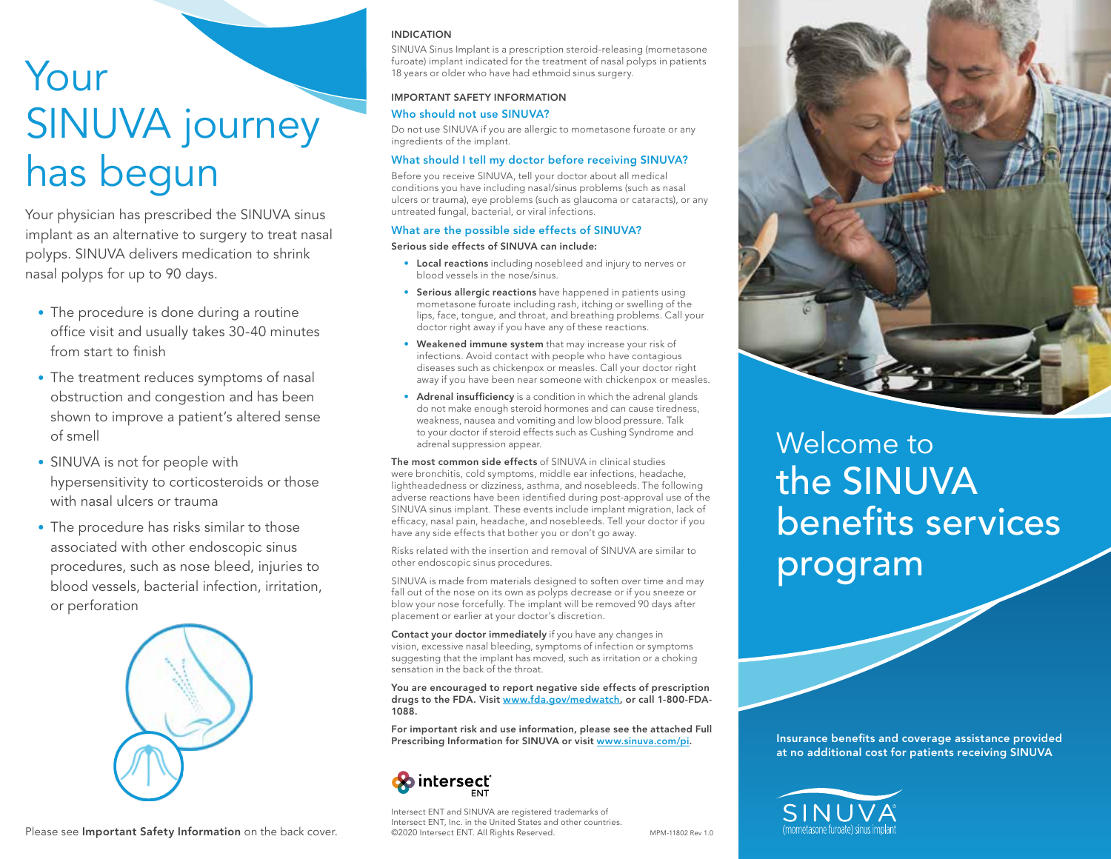# Your SINUVA journey has begun

Your physician has prescribed the SINUVA sinus implant as an alternative to surgery to treat nasal polyps. SINUVA delivers medication to shrink nasal polyps for up to 90 days.

- The procedure is done during a routine office visit and usually takes 30-40 minutes from start to finish
- The treatment reduces symptoms of nasal obstruction and congestion and has been shown to improve a patient's altered sense of smell
- SINUVA is not for people with hypersensitivity to corticosteroids or those with nasal ulcers or trauma
- The procedure has risks similar to those associated with other endoscopic sinus procedures, such as nose bleed, injuries to blood vessels, bacterial infection, irritation, or perforation



#### Please see Important Safety Information on the back cover.

### INDICATION

SINUVA Sinus Implant is a prescription steroid-releasing (mometasone furoate) implant indicated for the treatment of nasal polyps in patients 18 years or older who have had ethmoid sinus surgery.

### IMPORTANT SAFETY INFORMATION

### Who should not use SINUVA?

Do not use SINUVA if you are allergic to mometasone furoate or any ingredients of the implant.

### What should I tell my doctor before receiving SINUVA?

Before you receive SINUVA, tell your doctor about all medical conditions you have including nasal/sinus problems (such as nasal ulcers or trauma), eye problems (such as glaucoma or cataracts), or any untreated fungal, bacterial, or viral infections.

### What are the possible side effects of SINUVA?

### Serious side effects of SINUVA can include:

- Local reactions including nosebleed and injury to nerves or blood vessels in the nose/sinus.
- Serious allergic reactions have happened in patients using mometasone furoate including rash, itching or swelling of the lips, face, tongue, and throat, and breathing problems. Call your doctor right away if you have any of these reactions.
- Weakened immune system that may increase your risk of infections. Avoid contact with people who have contagious diseases such as chickenpox or measles. Call your doctor right away if you have been near someone with chickenpox or measles.
- Adrenal insufficiency is a condition in which the adrenal glands do not make enough steroid hormones and can cause tiredness, weakness, nausea and vomiting and low blood pressure. Talk to your doctor if steroid effects such as Cushing Syndrome and adrenal suppression appear.

The most common side effects of SINUVA in clinical studies were bronchitis, cold symptoms, middle ear infections, headache, lightheadedness or dizziness, asthma, and nosebleeds. The following adverse reactions have been identified during post-approval use of the SINUVA sinus implant. These events include implant migration, lack of efficacy, nasal pain, headache, and nosebleeds. Tell your doctor if you have any side effects that bother you or don't go away.

Risks related with the insertion and removal of SINUVA are similar to other endoscopic sinus procedures.

SINUVA is made from materials designed to soften over time and may fall out of the nose on its own as polyps decrease or if you sneeze or blow your nose forcefully. The implant will be removed 90 days after placement or earlier at your doctor's discretion.

Contact your doctor immediately if you have any changes in vision, excessive nasal bleeding, symptoms of infection or symptoms suggesting that the implant has moved, such as irritation or a choking sensation in the back of the throat.

You are encouraged to report negative side effects of prescription drugs to the FDA. Visit www.fda.gov/medwatch, or call 1-800-FDA-1088.

For important risk and use information, please see the attached Full Prescribing Information for SINUVA or visit www.sinuva.com/pi.



Intersect ENT and SINUVA are registered trademarks of Intersect ENT, Inc. in the United States and other countries. ©2020 Intersect ENT. All Rights Reserved. MPM-11802 Rev 1.0



## Welcome to the SINUVA benefits services program

Insurance benefits and coverage assistance provided at no additional cost for patients receiving SINUVA